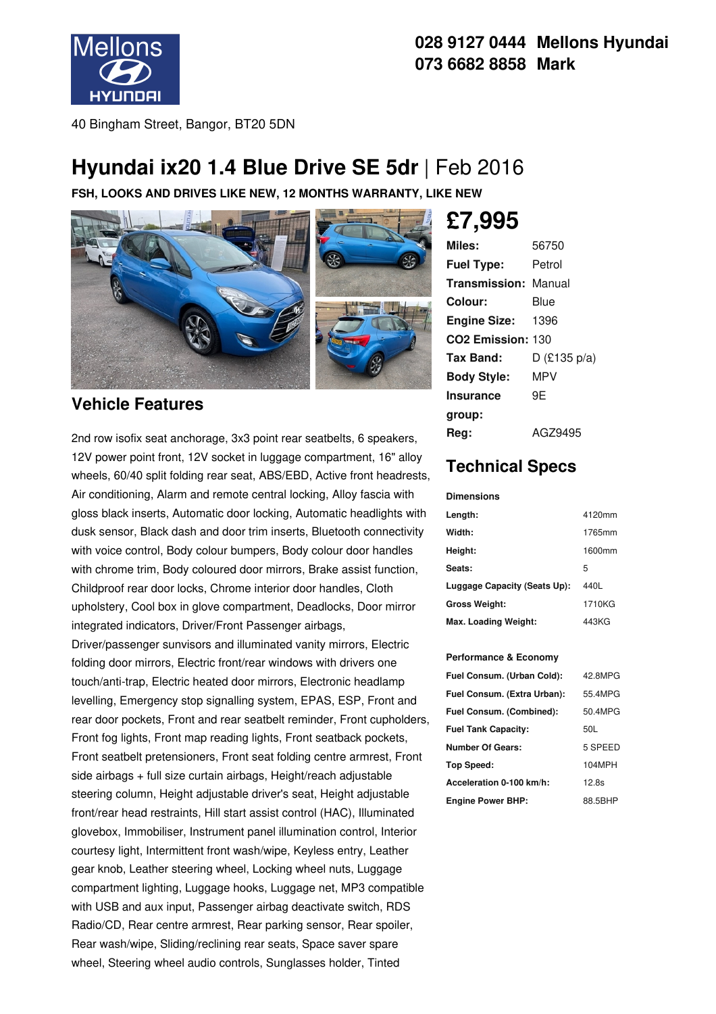

#### **028 9127 0444 Mellons Hyundai 073 6682 8858 Mark**

40 Bingham Street, Bangor, BT20 5DN

## **Hyundai ix20 1.4 Blue Drive SE 5dr** |Feb 2016

**FSH, LOOKS AND DRIVES LIKE NEW, 12 MONTHS WARRANTY, LIKE NEW**



#### **Vehicle Features**

2nd row isofix seat anchorage, 3x3 point rear seatbelts, 6 speakers, 12V power point front, 12V socket in luggage compartment, 16" alloy wheels, 60/40 split folding rear seat, ABS/EBD, Active front headrests, Air conditioning, Alarm and remote central locking, Alloy fascia with gloss black inserts, Automatic door locking, Automatic headlights with dusk sensor, Black dash and door trim inserts, Bluetooth connectivity with voice control, Body colour bumpers, Body colour door handles with chrome trim, Body coloured door mirrors, Brake assist function, Childproof rear door locks, Chrome interior door handles, Cloth upholstery, Cool box in glove compartment, Deadlocks, Door mirror integrated indicators, Driver/Front Passenger airbags,

Driver/passenger sunvisors and illuminated vanity mirrors, Electric folding door mirrors, Electric front/rear windows with drivers one touch/anti-trap, Electric heated door mirrors, Electronic headlamp levelling, Emergency stop signalling system, EPAS, ESP, Front and rear door pockets, Front and rear seatbelt reminder, Front cupholders, Front fog lights, Front map reading lights, Front seatback pockets, Front seatbelt pretensioners, Front seat folding centre armrest, Front side airbags + full size curtain airbags, Height/reach adjustable steering column, Height adjustable driver's seat, Height adjustable front/rear head restraints, Hill start assist control (HAC), Illuminated glovebox, Immobiliser, Instrument panel illumination control, Interior courtesy light, Intermittent front wash/wipe, Keyless entry, Leather gear knob, Leather steering wheel, Locking wheel nuts, Luggage compartment lighting, Luggage hooks, Luggage net, MP3 compatible with USB and aux input, Passenger airbag deactivate switch, RDS Radio/CD, Rear centre armrest, Rear parking sensor, Rear spoiler, Rear wash/wipe, Sliding/reclining rear seats, Space saver spare wheel, Steering wheel audio controls, Sunglasses holder, Tinted

# **£7,995**

| Miles:                      | 56750          |
|-----------------------------|----------------|
| <b>Fuel Type:</b>           | Petrol         |
| <b>Transmission: Manual</b> |                |
| Colour:                     | Blue           |
| <b>Engine Size:</b>         | 1396           |
| CO2 Emission: 130           |                |
| Tax Band:                   | $D$ (£135 p/a) |
| <b>Body Style:</b>          | MPV            |
| <b>Insurance</b>            | 9E             |
| group:                      |                |
| Reg:                        | AGZ9495        |

### **Technical Specs**

#### **Dimensions**

| Length:                      | 4120mm |
|------------------------------|--------|
| Width:                       | 1765mm |
| Height:                      | 1600mm |
| Seats:                       | 5      |
| Luggage Capacity (Seats Up): | 440L   |
| <b>Gross Weight:</b>         | 1710KG |
| Max. Loading Weight:         | 443KG  |

#### **Performance & Economy**

| Fuel Consum. (Urban Cold):  | 42.8MPG |
|-----------------------------|---------|
| Fuel Consum. (Extra Urban): | 55.4MPG |
| Fuel Consum. (Combined):    | 50.4MPG |
| <b>Fuel Tank Capacity:</b>  | 50L     |
| <b>Number Of Gears:</b>     | 5 SPEED |
| Top Speed:                  | 104MPH  |
| Acceleration 0-100 km/h:    | 12.8s   |
| <b>Engine Power BHP:</b>    | 88.5BHP |